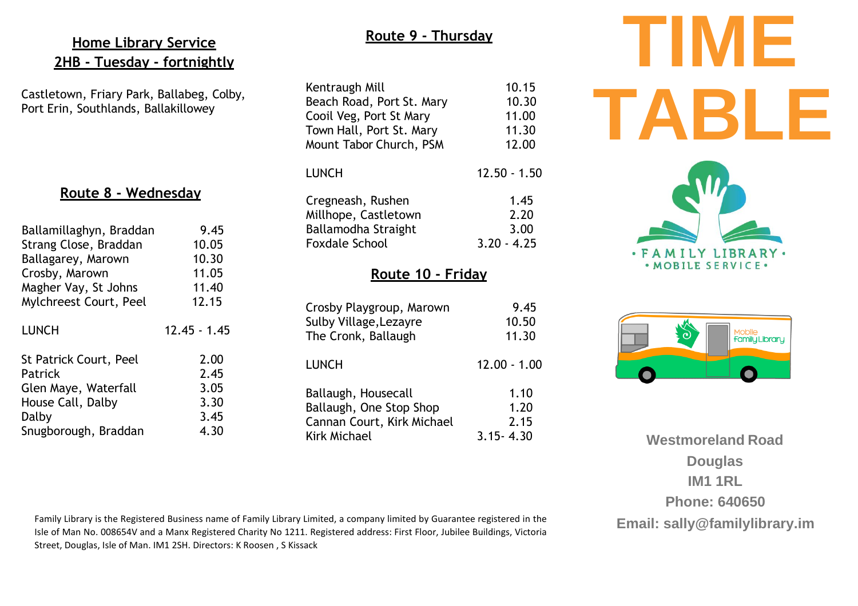## **Home Library Service 2HB - Tuesday - fortnightly**

Castletown, Friary Park, Ballabeg, Colby, Port Erin, Southlands, Ballakillowey

## **Route 8 - Wednesday**

| Ballamillaghyn, Braddan | 9.45           |
|-------------------------|----------------|
| Strang Close, Braddan   | 10.05          |
| Ballagarey, Marown      | 10.30          |
| Crosby, Marown          | 11.05          |
| Magher Vay, St Johns    | 11.40          |
| Mylchreest Court, Peel  | 12.15          |
| <b>LUNCH</b>            | $12.45 - 1.45$ |
| St Patrick Court, Peel  | 2.00           |
| Patrick                 | 2.45           |
| Glen Maye, Waterfall    | 3.05           |
| House Call, Dalby       | 3.30           |
| Dalby                   | 3.45           |
| Snugborough, Braddan    | 4.30           |

## **Route 9 - Thursday**

| Kentraugh Mill            | 10.15          |  |
|---------------------------|----------------|--|
| Beach Road, Port St. Mary | 10.30          |  |
| Cooil Veg, Port St Mary   | 11.00          |  |
| Town Hall, Port St. Mary  | 11.30          |  |
| Mount Tabor Church, PSM   | 12.00          |  |
| <b>LUNCH</b>              | $12.50 - 1.50$ |  |
| Cregneash, Rushen         | 1.45           |  |
| Millhope, Castletown      | 2.20           |  |
| Ballamodha Straight       | 3.00           |  |
| <b>Foxdale School</b>     | $3.20 - 4.25$  |  |
| Route 10 - Friday         |                |  |
| Crosby Playgroup, Marown  | 9.45           |  |
| Sulby Village, Lezayre    | 10.50          |  |

| THE CIVIIN, Dattaugh                                                         | .                    |
|------------------------------------------------------------------------------|----------------------|
| <b>LUNCH</b>                                                                 | $12.00 - 1.00$       |
| Ballaugh, Housecall<br>Ballaugh, One Stop Shop<br>Cannan Court, Kirk Michael | 1.10<br>1.20<br>2.15 |
| Kirk Michael                                                                 | $3.15 - 4.30$        |

The Cronk, Ballaugh 11.30



**TIME** 



**Westmoreland Road Douglas IM1 1RL Phone: 640650 Email: [sally@familylibrary.im](mailto:sally@familylibrary.im)**

Family Library is the Registered Business name of Family Library Limited, a company limited by Guarantee registered in the Isle of Man No. 008654V and a Manx Registered Charity No 1211. Registered address: First Floor, Jubilee Buildings, Victoria Street, Douglas, Isle of Man. IM1 2SH. Directors: K Roosen , S Kissack